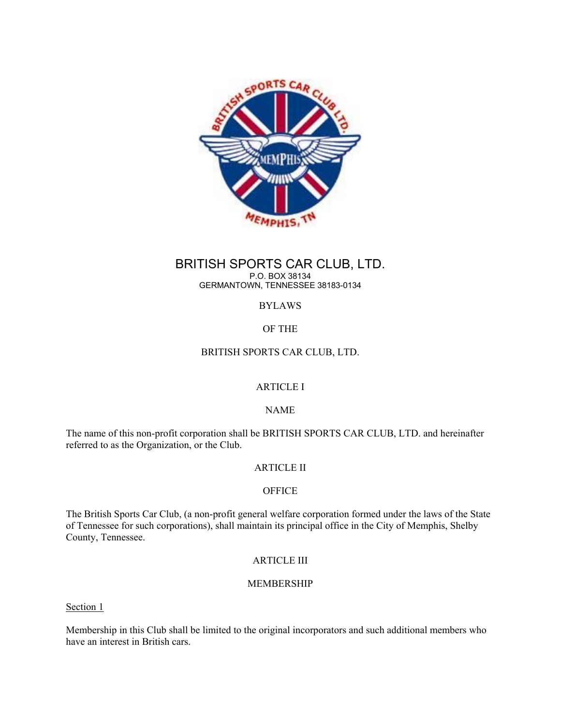

# BRITISH SPORTS CAR CLUB, LTD. P.O. BOX 38134

GERMANTOWN, TENNESSEE 38183-0134

# BYLAWS

# OF THE

# BRITISH SPORTS CAR CLUB, LTD.

# ARTICLE I

# NAME

The name of this non-profit corporation shall be BRITISH SPORTS CAR CLUB, LTD. and hereinafter referred to as the Organization, or the Club.

# ARTICLE II

# **OFFICE**

The British Sports Car Club, (a non-profit general welfare corporation formed under the laws of the State of Tennessee for such corporations), shall maintain its principal office in the City of Memphis, Shelby County, Tennessee.

# ARTICLE III

# MEMBERSHIP

Section 1

Membership in this Club shall be limited to the original incorporators and such additional members who have an interest in British cars.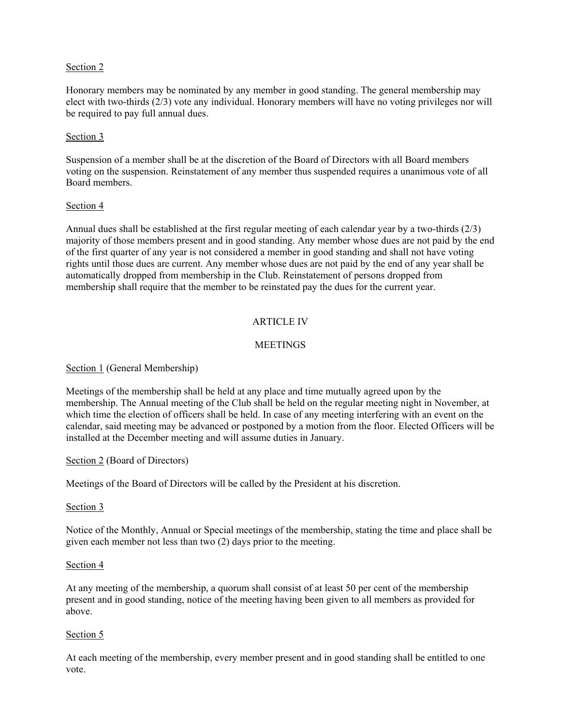# Section 2

Honorary members may be nominated by any member in good standing. The general membership may elect with two-thirds (2/3) vote any individual. Honorary members will have no voting privileges nor will be required to pay full annual dues.

## Section 3

Suspension of a member shall be at the discretion of the Board of Directors with all Board members voting on the suspension. Reinstatement of any member thus suspended requires a unanimous vote of all Board members.

## Section 4

Annual dues shall be established at the first regular meeting of each calendar year by a two-thirds (2/3) majority of those members present and in good standing. Any member whose dues are not paid by the end of the first quarter of any year is not considered a member in good standing and shall not have voting rights until those dues are current. Any member whose dues are not paid by the end of any year shall be automatically dropped from membership in the Club. Reinstatement of persons dropped from membership shall require that the member to be reinstated pay the dues for the current year.

# ARTICLE IV

# **MEETINGS**

## Section 1 (General Membership)

Meetings of the membership shall be held at any place and time mutually agreed upon by the membership. The Annual meeting of the Club shall be held on the regular meeting night in November, at which time the election of officers shall be held. In case of any meeting interfering with an event on the calendar, said meeting may be advanced or postponed by a motion from the floor. Elected Officers will be installed at the December meeting and will assume duties in January.

## Section 2 (Board of Directors)

Meetings of the Board of Directors will be called by the President at his discretion.

## Section 3

Notice of the Monthly, Annual or Special meetings of the membership, stating the time and place shall be given each member not less than two (2) days prior to the meeting.

## Section 4

At any meeting of the membership, a quorum shall consist of at least 50 per cent of the membership present and in good standing, notice of the meeting having been given to all members as provided for above.

## Section 5

At each meeting of the membership, every member present and in good standing shall be entitled to one vote.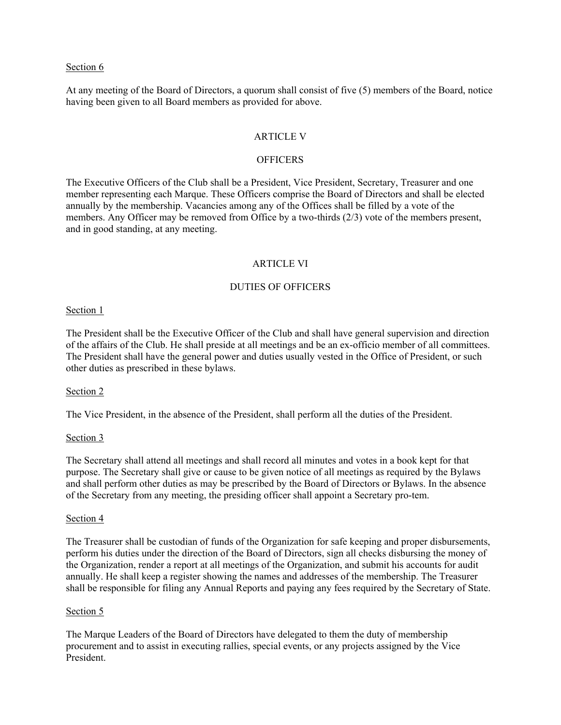### Section 6

At any meeting of the Board of Directors, a quorum shall consist of five (5) members of the Board, notice having been given to all Board members as provided for above.

### ARTICLE V

### **OFFICERS**

The Executive Officers of the Club shall be a President, Vice President, Secretary, Treasurer and one member representing each Marque. These Officers comprise the Board of Directors and shall be elected annually by the membership. Vacancies among any of the Offices shall be filled by a vote of the members. Any Officer may be removed from Office by a two-thirds (2/3) vote of the members present, and in good standing, at any meeting.

### ARTICLE VI

### DUTIES OF OFFICERS

#### Section 1

The President shall be the Executive Officer of the Club and shall have general supervision and direction of the affairs of the Club. He shall preside at all meetings and be an ex-officio member of all committees. The President shall have the general power and duties usually vested in the Office of President, or such other duties as prescribed in these bylaws.

#### Section 2

The Vice President, in the absence of the President, shall perform all the duties of the President.

#### Section 3

The Secretary shall attend all meetings and shall record all minutes and votes in a book kept for that purpose. The Secretary shall give or cause to be given notice of all meetings as required by the Bylaws and shall perform other duties as may be prescribed by the Board of Directors or Bylaws. In the absence of the Secretary from any meeting, the presiding officer shall appoint a Secretary pro-tem.

#### Section 4

The Treasurer shall be custodian of funds of the Organization for safe keeping and proper disbursements, perform his duties under the direction of the Board of Directors, sign all checks disbursing the money of the Organization, render a report at all meetings of the Organization, and submit his accounts for audit annually. He shall keep a register showing the names and addresses of the membership. The Treasurer shall be responsible for filing any Annual Reports and paying any fees required by the Secretary of State.

#### Section 5

The Marque Leaders of the Board of Directors have delegated to them the duty of membership procurement and to assist in executing rallies, special events, or any projects assigned by the Vice President.